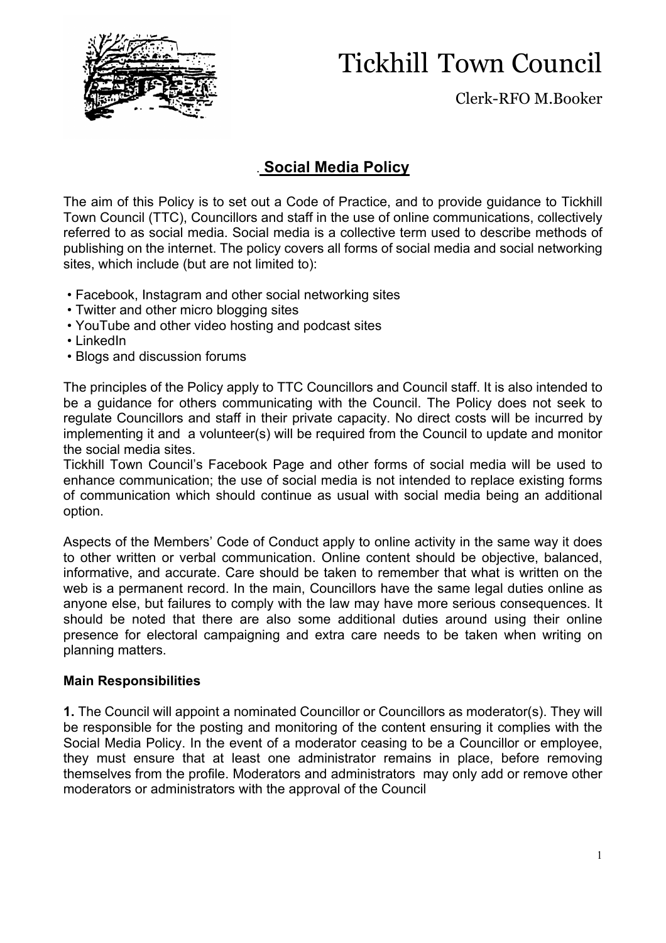

## Tickhill Town Council

Clerk-RFO M.Booker

#### . **Social Media Policy**

The aim of this Policy is to set out a Code of Practice, and to provide guidance to Tickhill Town Council (TTC), Councillors and staff in the use of online communications, collectively referred to as social media. Social media is a collective term used to describe methods of publishing on the internet. The policy covers all forms of social media and social networking sites, which include (but are not limited to):

- Facebook, Instagram and other social networking sites
- Twitter and other micro blogging sites
- YouTube and other video hosting and podcast sites
- LinkedIn
- Blogs and discussion forums

The principles of the Policy apply to TTC Councillors and Council staff. It is also intended to be a guidance for others communicating with the Council. The Policy does not seek to regulate Councillors and staff in their private capacity. No direct costs will be incurred by implementing it and a volunteer(s) will be required from the Council to update and monitor the social media sites.

Tickhill Town Council's Facebook Page and other forms of social media will be used to enhance communication; the use of social media is not intended to replace existing forms of communication which should continue as usual with social media being an additional option.

Aspects of the Members' Code of Conduct apply to online activity in the same way it does to other written or verbal communication. Online content should be objective, balanced, informative, and accurate. Care should be taken to remember that what is written on the web is a permanent record. In the main, Councillors have the same legal duties online as anyone else, but failures to comply with the law may have more serious consequences. It should be noted that there are also some additional duties around using their online presence for electoral campaigning and extra care needs to be taken when writing on planning matters.

#### **Main Responsibilities**

**1.** The Council will appoint a nominated Councillor or Councillors as moderator(s). They will be responsible for the posting and monitoring of the content ensuring it complies with the Social Media Policy. In the event of a moderator ceasing to be a Councillor or employee, they must ensure that at least one administrator remains in place, before removing themselves from the profile. Moderators and administrators may only add or remove other moderators or administrators with the approval of the Council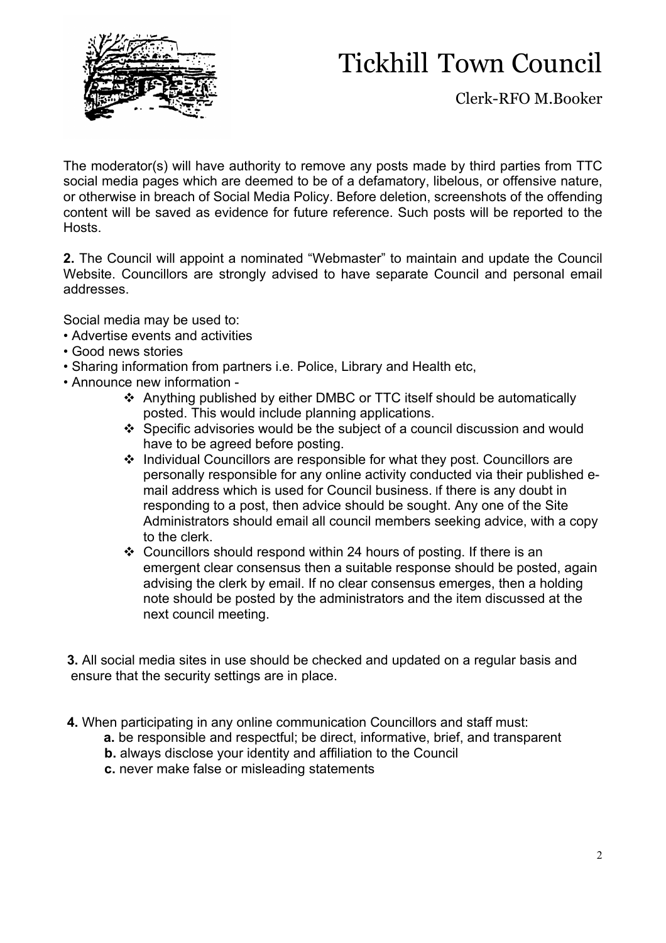

# Tickhill Town Council

Clerk-RFO M.Booker

The moderator(s) will have authority to remove any posts made by third parties from TTC social media pages which are deemed to be of a defamatory, libelous, or offensive nature, or otherwise in breach of Social Media Policy. Before deletion, screenshots of the offending content will be saved as evidence for future reference. Such posts will be reported to the Hosts.

**2.** The Council will appoint a nominated "Webmaster" to maintain and update the Council Website. Councillors are strongly advised to have separate Council and personal email addresses.

Social media may be used to:

- Advertise events and activities
- Good news stories
- Sharing information from partners i.e. Police, Library and Health etc,
- Announce new information
	- v Anything published by either DMBC or TTC itself should be automatically posted. This would include planning applications.
	- v Specific advisories would be the subject of a council discussion and would have to be agreed before posting.
	- v Individual Councillors are responsible for what they post. Councillors are personally responsible for any online activity conducted via their published email address which is used for Council business. If there is any doubt in responding to a post, then advice should be sought. Any one of the Site Administrators should email all council members seeking advice, with a copy to the clerk.
	- $\div$  Councillors should respond within 24 hours of posting. If there is an emergent clear consensus then a suitable response should be posted, again advising the clerk by email. If no clear consensus emerges, then a holding note should be posted by the administrators and the item discussed at the next council meeting.

**3.** All social media sites in use should be checked and updated on a regular basis and ensure that the security settings are in place.

- **4.** When participating in any online communication Councillors and staff must:
	- **a.** be responsible and respectful; be direct, informative, brief, and transparent
	- **b.** always disclose your identity and affiliation to the Council
	- **c.** never make false or misleading statements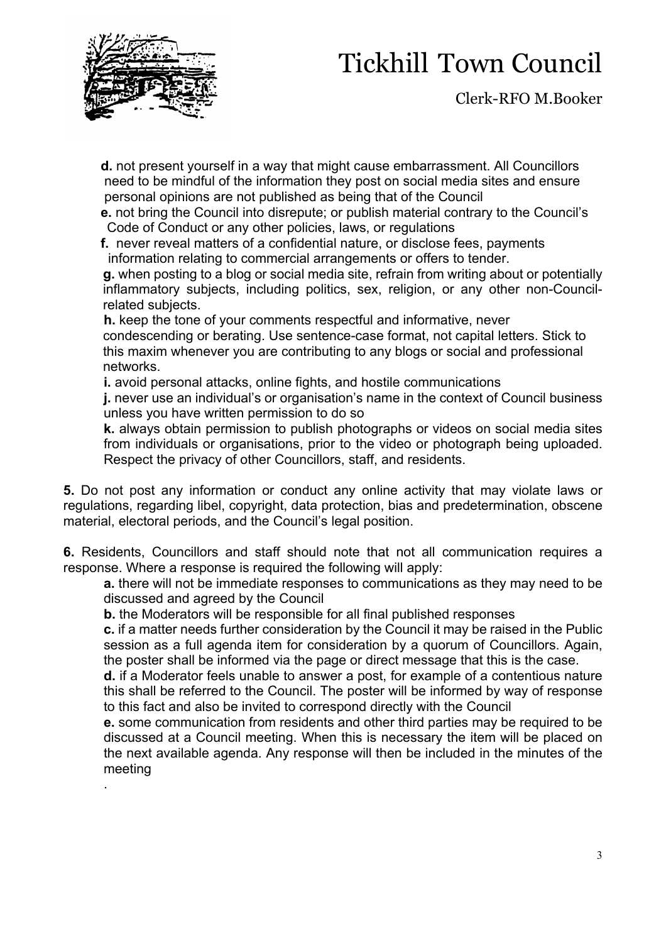.

## Tickhill Town Council

Clerk-RFO M.Booker

 **d.** not present yourself in a way that might cause embarrassment. All Councillors need to be mindful of the information they post on social media sites and ensure personal opinions are not published as being that of the Council

 **e.** not bring the Council into disrepute; or publish material contrary to the Council's Code of Conduct or any other policies, laws, or regulations

 **f.** never reveal matters of a confidential nature, or disclose fees, payments information relating to commercial arrangements or offers to tender.

**g.** when posting to a blog or social media site, refrain from writing about or potentially inflammatory subjects, including politics, sex, religion, or any other non-Councilrelated subjects.

**h.** keep the tone of your comments respectful and informative, never condescending or berating. Use sentence-case format, not capital letters. Stick to this maxim whenever you are contributing to any blogs or social and professional networks.

**i.** avoid personal attacks, online fights, and hostile communications

**j.** never use an individual's or organisation's name in the context of Council business unless you have written permission to do so

**k.** always obtain permission to publish photographs or videos on social media sites from individuals or organisations, prior to the video or photograph being uploaded. Respect the privacy of other Councillors, staff, and residents.

**5.** Do not post any information or conduct any online activity that may violate laws or regulations, regarding libel, copyright, data protection, bias and predetermination, obscene material, electoral periods, and the Council's legal position.

**6.** Residents, Councillors and staff should note that not all communication requires a response. Where a response is required the following will apply:

**a.** there will not be immediate responses to communications as they may need to be discussed and agreed by the Council

**b.** the Moderators will be responsible for all final published responses

**c.** if a matter needs further consideration by the Council it may be raised in the Public session as a full agenda item for consideration by a quorum of Councillors. Again, the poster shall be informed via the page or direct message that this is the case.

**d.** if a Moderator feels unable to answer a post, for example of a contentious nature this shall be referred to the Council. The poster will be informed by way of response to this fact and also be invited to correspond directly with the Council

**e.** some communication from residents and other third parties may be required to be discussed at a Council meeting. When this is necessary the item will be placed on the next available agenda. Any response will then be included in the minutes of the meeting